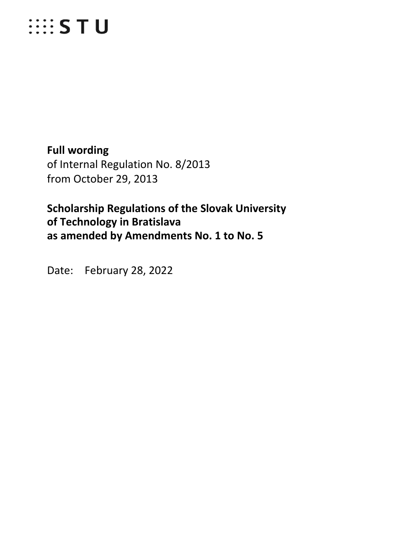# **EXAMPLE STU**

**Full wording** of Internal Regulation No. 8/2013 from October 29, 2013

**Scholarship Regulations of the Slovak University of Technology in Bratislava as amended by Amendments No. 1 to No. 5**

Date: February 28, 2022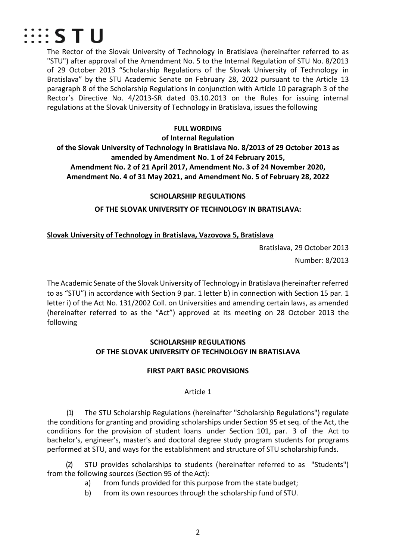

The Rector of the Slovak University of Technology in Bratislava (hereinafter referred to as "STU") after approval of the Amendment No. 5 to the Internal Regulation of STU No. 8/2013 of 29 October 2013 "Scholarship Regulations of the Slovak University of Technology in Bratislava" by the STU Academic Senate on February 28, 2022 pursuant to the Article 13 paragraph 8 of the Scholarship Regulations in conjunction with Article 10 paragraph 3 of the Rector's Directive No. 4/2013-SR dated 03.10.2013 on the Rules for issuing internal regulations at the Slovak University of Technology in Bratislava, issues the following

#### **FULL WORDING**

**of Internal Regulation**

**of the Slovak University of Technology in Bratislava No. 8/2013 of 29 October 2013 as amended by Amendment No. 1 of 24 February 2015, Amendment No. 2 of 21 April 2017, Amendment No. 3 of 24 November 2020, Amendment No. 4 of 31 May 2021, and Amendment No. 5 of February 28, 2022**

#### **SCHOLARSHIP REGULATIONS**

**OF THE SLOVAK UNIVERSITY OF TECHNOLOGY IN BRATISLAVA:**

# **Slovak University of Technology in Bratislava, Vazovova 5, Bratislava**

Bratislava, 29 October 2013 Number: 8/2013

The Academic Senate of the Slovak University of Technology in Bratislava (hereinafter referred to as "STU") in accordance with Section 9 par. 1 letter b) in connection with Section 15 par. 1 letter i) of the Act No. 131/2002 Coll. on Universities and amending certain laws, as amended (hereinafter referred to as the "Act") approved at its meeting on 28 October 2013 the following

# **SCHOLARSHIP REGULATIONS OF THE SLOVAK UNIVERSITY OF TECHNOLOGY IN BRATISLAVA**

# **FIRST PART BASIC PROVISIONS**

# Article 1

(1) The STU Scholarship Regulations (hereinafter "Scholarship Regulations") regulate the conditions for granting and providing scholarships under Section 95 et seq. of the Act, the conditions for the provision of student loans under Section 101, par. 3 of the Act to bachelor's, engineer's, master's and doctoral degree study program students for programs performed at STU, and ways for the establishment and structure of STU scholarshipfunds.

(2) STU provides scholarships to students (hereinafter referred to as "Students") from the following sources (Section 95 of the Act):

- a) from funds provided for this purpose from the state budget;
- b) from its own resources through the scholarship fund of STU.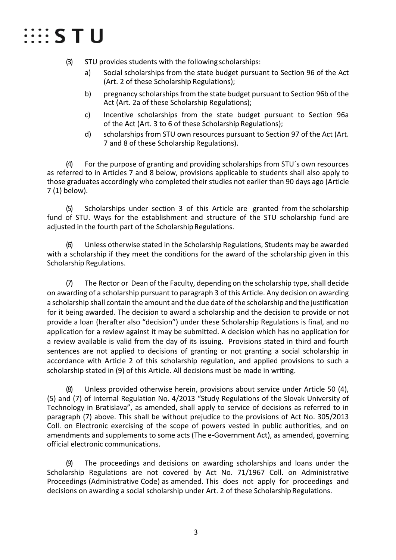# $\mathbb{H}$  is the  $\mathsf{S} \mathsf{T}$  of  $\mathsf{U}$

(3) STU provides students with the following scholarships:

- a) Social scholarships from the state budget pursuant to Section 96 of the Act (Art. 2 of these Scholarship Regulations);
- b) pregnancy scholarships from the state budget pursuant to Section 96b of the Act (Art. 2a of these Scholarship Regulations);
- c) Incentive scholarships from the state budget pursuant to Section 96a of the Act (Art. 3 to 6 of these Scholarship Regulations);
- d) scholarships from STU own resources pursuant to Section 97 of the Act (Art. 7 and 8 of these Scholarship Regulations).

(4) For the purpose of granting and providing scholarships from STU´s own resources as referred to in Articles 7 and 8 below, provisions applicable to students shall also apply to those graduates accordingly who completed their studies not earlier than 90 days ago (Article 7 (1) below).

(5) Scholarships under section 3 of this Article are granted from the scholarship fund of STU. Ways for the establishment and structure of the STU scholarship fund are adjusted in the fourth part of the Scholarship Regulations.

(6) Unless otherwise stated in the Scholarship Regulations, Students may be awarded with a scholarship if they meet the conditions for the award of the scholarship given in this Scholarship Regulations.

(7) The Rector or Dean of the Faculty, depending on the scholarship type, shall decide on awarding of a scholarship pursuant to paragraph 3 of this Article. Any decision on awarding a scholarship shall contain the amount and the due date of the scholarship and the justification for it being awarded. The decision to award a scholarship and the decision to provide or not provide a loan (herafter also "decision") under these Scholarship Regulations is final, and no application for a review against it may be submitted. A decision which has no application for a review available is valid from the day of its issuing. Provisions stated in third and fourth sentences are not applied to decisions of granting or not granting a social scholarship in accordance with Article 2 of this scholarship regulation, and applied provisions to such a scholarship stated in (9) of this Article. All decisions must be made in writing.

(8) Unless provided otherwise herein, provisions about service under Article 50 (4), (5) and (7) of Internal Regulation No. 4/2013 "Study Regulations of the Slovak University of Technology in Bratislava", as amended, shall apply to service of decisions as referred to in paragraph (7) above. This shall be without prejudice to the provisions of Act No. 305/2013 Coll. on Electronic exercising of the scope of powers vested in public authorities, and on amendments and supplements to some acts (The e-Government Act), as amended, governing official electronic communications.

(9) The proceedings and decisions on awarding scholarships and loans under the Scholarship Regulations are not covered by Act No. 71/1967 Coll. on Administrative Proceedings (Administrative Code) as amended. This does not apply for proceedings and decisions on awarding a social scholarship under Art. 2 of these Scholarship Regulations.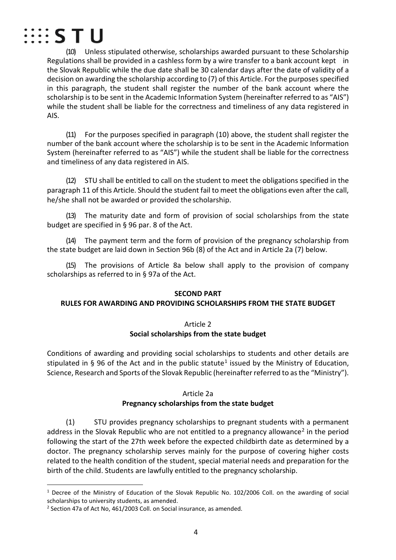

(10) Unless stipulated otherwise, scholarships awarded pursuant to these Scholarship Regulations shall be provided in a cashless form by a wire transfer to a bank account kept in the Slovak Republic while the due date shall be 30 calendar days after the date of validity of a decision on awarding the scholarship according to (7) of this Article. For the purposes specified in this paragraph, the student shall register the number of the bank account where the scholarship is to be sent in the Academic Information System (hereinafter referred to as "AIS") while the student shall be liable for the correctness and timeliness of any data registered in AIS.

(11) For the purposes specified in paragraph (10) above, the student shall register the number of the bank account where the scholarship is to be sent in the Academic Information System (hereinafter referred to as "AIS") while the student shall be liable for the correctness and timeliness of any data registered in AIS.

(12) STU shall be entitled to call on the student to meet the obligations specified in the paragraph 11 of this Article. Should the student fail to meet the obligations even after the call, he/she shall not be awarded or provided the scholarship.

(13) The maturity date and form of provision of social scholarships from the state budget are specified in § 96 par. 8 of the Act.

(14) The payment term and the form of provision of the pregnancy scholarship from the state budget are laid down in Section 96b (8) of the Act and in Article 2a (7) below.

(15) The provisions of Article 8a below shall apply to the provision of company scholarships as referred to in § 97a of the Act.

#### **SECOND PART**

#### **RULES FOR AWARDING AND PROVIDING SCHOLARSHIPS FROM THE STATE BUDGET**

# Article 2 **Social scholarships from the state budget**

Conditions of awarding and providing social scholarships to students and other details are stipulated in § 96 of the Act and in the public statute<sup>[1](#page-3-0)</sup> issued by the Ministry of Education, Science, Research and Sports of the Slovak Republic (hereinafter referred to as the "Ministry").

#### Article 2a

# **Pregnancy scholarships from the state budget**

(1) STU provides pregnancy scholarships to pregnant students with a permanent address in the Slovak Republic who are not entitled to a pregnancy allowance<sup>[2](#page-3-1)</sup> in the period following the start of the 27th week before the expected childbirth date as determined by a doctor. The pregnancy scholarship serves mainly for the purpose of covering higher costs related to the health condition of the student, special material needs and preparation for the birth of the child. Students are lawfully entitled to the pregnancy scholarship.

<span id="page-3-0"></span> <sup>1</sup> Decree of the Ministry of Education of the Slovak Republic No. 102/2006 Coll. on the awarding of social scholarships to university students, as amended.

<span id="page-3-1"></span><sup>2</sup> Section 47a of Act No, 461/2003 Coll. on Social insurance, as amended.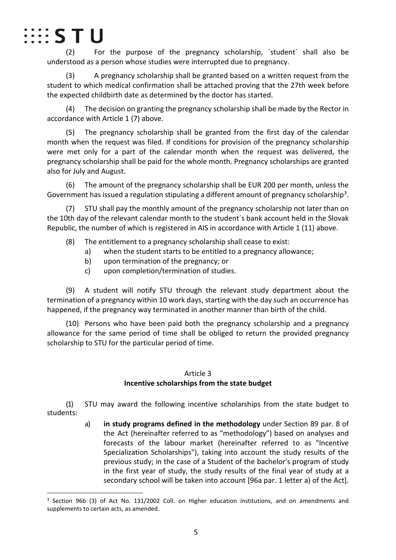

(2) For the purpose of the pregnancy scholarship, ´student´ shall also be understood as a person whose studies were interrupted due to pregnancy.

(3) A pregnancy scholarship shall be granted based on a written request from the student to which medical confirmation shall be attached proving that the 27th week before the expected childbirth date as determined by the doctor has started.

(4) The decision on granting the pregnancy scholarship shall be made by the Rector in accordance with Article 1 (7) above.

(5) The pregnancy scholarship shall be granted from the first day of the calendar month when the request was filed. If conditions for provision of the pregnancy scholarship were met only for a part of the calendar month when the request was delivered, the pregnancy scholarship shall be paid for the whole month. Pregnancy scholarships are granted also for July and August.

(6) The amount of the pregnancy scholarship shall be EUR 200 per month, unless the Government has issued a regulation stipulating a different amount of pregnancy scholarship<sup>3</sup>.

(7) STU shall pay the monthly amount of the pregnancy scholarship not later than on the 10th day of the relevant calendar month to the student´s bank account held in the Slovak Republic, the number of which is registered in AIS in accordance with Article 1 (11) above.

- (8) The entitlement to a pregnancy scholarship shall cease to exist:
	- a) when the student starts to be entitled to a pregnancy allowance;
	- b) upon termination of the pregnancy; or
	- c) upon completion/termination of studies.

(9) A student will notify STU through the relevant study department about the termination of a pregnancy within 10 work days, starting with the day such an occurrence has happened, if the pregnancy way terminated in another manner than birth of the child.

(10) Persons who have been paid both the pregnancy scholarship and a pregnancy allowance for the same period of time shall be obliged to return the provided pregnancy scholarship to STU for the particular period of time.

# Article 3

# **Incentive scholarships from the state budget**

(1) STU may award the following incentive scholarships from the state budget to students:

> a) **in study programs defined in the methodology** under Section 89 par. 8 of the Act (hereinafter referred to as "methodology") based on analyses and forecasts of the labour market (hereinafter referred to as "Incentive Specialization Scholarships"), taking into account the study results of the previous study; in the case of a Student of the bachelor's program of study in the first year of study, the study results of the final year of study at a secondary school will be taken into account [96a par. 1 letter a) of the Act].

<span id="page-4-0"></span><sup>&</sup>lt;sup>3</sup> Section 96b (3) of Act No. 131/2002 Coll. on Higher education institutions, and on amendments and supplements to certain acts, as amended.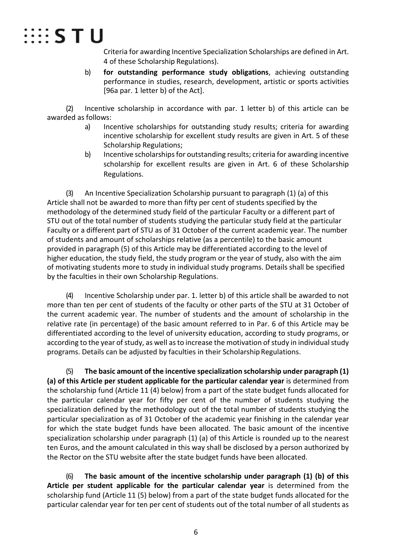

Criteria for awarding Incentive Specialization Scholarships are defined in Art. 4 of these Scholarship Regulations).

b) **for outstanding performance study obligations**, achieving outstanding performance in studies, research, development, artistic or sports activities [96a par. 1 letter b) of the Act].

(2) Incentive scholarship in accordance with par. 1 letter b) of this article can be awarded as follows:

- a) Incentive scholarships for outstanding study results; criteria for awarding incentive scholarship for excellent study results are given in Art. 5 of these Scholarship Regulations;
- b) Incentive scholarships for outstanding results; criteria for awarding incentive scholarship for excellent results are given in Art. 6 of these Scholarship Regulations.

(3) An Incentive Specialization Scholarship pursuant to paragraph (1) (a) of this Article shall not be awarded to more than fifty per cent of students specified by the methodology of the determined study field of the particular Faculty or a different part of STU out of the total number of students studying the particular study field at the particular Faculty or a different part of STU as of 31 October of the current academic year. The number of students and amount of scholarships relative (as a percentile) to the basic amount provided in paragraph (5) of this Article may be differentiated according to the level of higher education, the study field, the study program or the year of study, also with the aim of motivating students more to study in individual study programs. Details shall be specified by the faculties in their own Scholarship Regulations.

(4) Incentive Scholarship under par. 1. letter b) of this article shall be awarded to not more than ten per cent of students of the faculty or other parts of the STU at 31 October of the current academic year. The number of students and the amount of scholarship in the relative rate (in percentage) of the basic amount referred to in Par. 6 of this Article may be differentiated according to the level of university education, according to study programs, or according to the year of study, as well as to increase the motivation of study in individual study programs. Details can be adjusted by faculties in their Scholarship Regulations.

(5) **The basic amount of the incentive specialization scholarship under paragraph (1) (a) of this Article per student applicable for the particular calendar year** is determined from the scholarship fund (Article 11 (4) below) from a part of the state budget funds allocated for the particular calendar year for fifty per cent of the number of students studying the specialization defined by the methodology out of the total number of students studying the particular specialization as of 31 October of the academic year finishing in the calendar year for which the state budget funds have been allocated. The basic amount of the incentive specialization scholarship under paragraph (1) (a) of this Article is rounded up to the nearest ten Euros, and the amount calculated in this way shall be disclosed by a person authorized by the Rector on the STU website after the state budget funds have been allocated.

(6) **The basic amount of the incentive scholarship under paragraph (1) (b) of this Article per student applicable for the particular calendar year** is determined from the scholarship fund (Article 11 (5) below) from a part of the state budget funds allocated for the particular calendar year for ten per cent of students out of the total number of all students as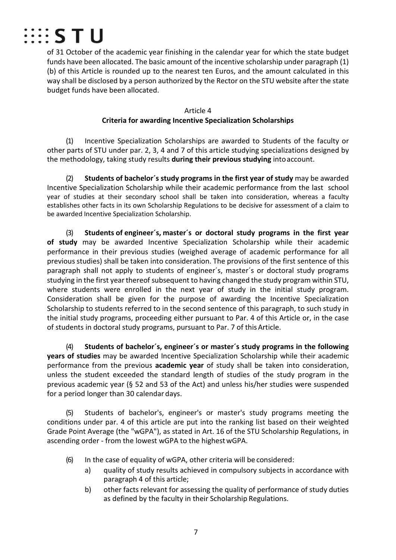

of 31 October of the academic year finishing in the calendar year for which the state budget funds have been allocated. The basic amount of the incentive scholarship under paragraph (1) (b) of this Article is rounded up to the nearest ten Euros, and the amount calculated in this way shall be disclosed by a person authorized by the Rector on the STU website after the state budget funds have been allocated.

#### Article 4 **Criteria for awarding Incentive Specialization Scholarships**

(1) Incentive Specialization Scholarships are awarded to Students of the faculty or other parts of STU under par. 2, 3, 4 and 7 of this article studying specializations designed by the methodology, taking study results **during their previous studying** intoaccount.

(2) **Students of bachelor´s study programs in the first year of study** may be awarded Incentive Specialization Scholarship while their academic performance from the last school year of studies at their secondary school shall be taken into consideration, whereas a faculty establishes other facts in its own Scholarship Regulations to be decisive for assessment of a claim to be awarded Incentive Specialization Scholarship.

(3) **Students of engineer´s, master´s or doctoral study programs in the first year of study** may be awarded Incentive Specialization Scholarship while their academic performance in their previous studies (weighed average of academic performance for all previous studies) shall be taken into consideration. The provisions of the first sentence of this paragraph shall not apply to students of engineer´s, master´s or doctoral study programs studying in the first yearthereof subsequent to having changed the study program within STU, where students were enrolled in the next year of study in the initial study program. Consideration shall be given for the purpose of awarding the Incentive Specialization Scholarship to students referred to in the second sentence of this paragraph, to such study in the initial study programs, proceeding either pursuant to Par. 4 of this Article or, in the case of students in doctoral study programs, pursuant to Par. 7 of thisArticle.

(4) **Students of bachelor´s, engineer´s or master´s study programs in the following years of studies** may be awarded Incentive Specialization Scholarship while their academic performance from the previous **academic year** of study shall be taken into consideration, unless the student exceeded the standard length of studies of the study program in the previous academic year (§ 52 and 53 of the Act) and unless his/her studies were suspended for a period longer than 30 calendar days.

(5) Students of bachelor's, engineer's or master's study programs meeting the conditions under par. 4 of this article are put into the ranking list based on their weighted Grade Point Average (the "wGPA"), as stated in Art. 16 of the STU Scholarship Regulations, in ascending order - from the lowest wGPA to the highestwGPA.

- (6) In the case of equality of wGPA, other criteria will be considered:
	- a) quality of study results achieved in compulsory subjects in accordance with paragraph 4 of this article;
	- b) other facts relevant for assessing the quality of performance of study duties as defined by the faculty in their Scholarship Regulations.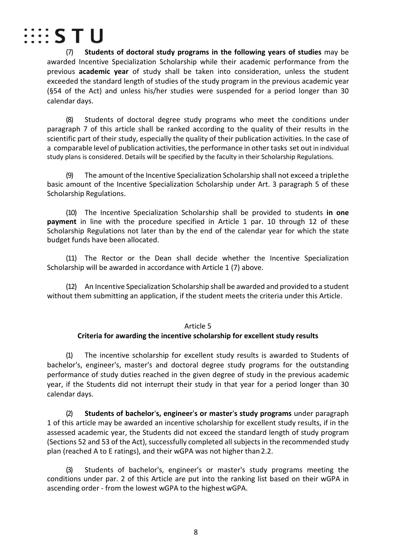

(7) **Students of doctoral study programs in the following years of studies** may be awarded Incentive Specialization Scholarship while their academic performance from the previous **academic year** of study shall be taken into consideration, unless the student exceeded the standard length of studies of the study program in the previous academic year (§54 of the Act) and unless his/her studies were suspended for a period longer than 30 calendar days.

(8) Students of doctoral degree study programs who meet the conditions under paragraph 7 of this article shall be ranked according to the quality of their results in the scientific part of their study, especially the quality of their publication activities. In the case of a comparable level of publication activities, the performance in other tasks set out in individual study plans is considered. Details will be specified by the faculty in their Scholarship Regulations.

(9) The amount of the Incentive Specialization Scholarship shall not exceed a triplethe basic amount of the Incentive Specialization Scholarship under Art. 3 paragraph 5 of these Scholarship Regulations.

(10) The Incentive Specialization Scholarship shall be provided to students **in one payment** in line with the procedure specified in Article 1 par. 10 through 12 of these Scholarship Regulations not later than by the end of the calendar year for which the state budget funds have been allocated.

(11) The Rector or the Dean shall decide whether the Incentive Specialization Scholarship will be awarded in accordance with Article 1 (7) above.

(12) An Incentive Specialization Scholarship shall be awarded and provided to a student without them submitting an application, if the student meets the criteria under this Article.

#### Article 5

# **Criteria for awarding the incentive scholarship for excellent study results**

(1) The incentive scholarship for excellent study results is awarded to Students of bachelor's, engineer's, master's and doctoral degree study programs for the outstanding performance of study duties reached in the given degree of study in the previous academic year, if the Students did not interrupt their study in that year for a period longer than 30 calendar days.

(2) **Students of bachelor**'**s, engineer**'**s or master**'**s study programs** under paragraph 1 of this article may be awarded an incentive scholarship for excellent study results, if in the assessed academic year, the Students did not exceed the standard length of study program (Sections 52 and 53 of the Act), successfully completed all subjects in the recommended study plan (reached A to E ratings), and their wGPA was not higher than 2.2.

(3) Students of bachelor's, engineer's or master's study programs meeting the conditions under par. 2 of this Article are put into the ranking list based on their wGPA in ascending order - from the lowest wGPA to the highestwGPA.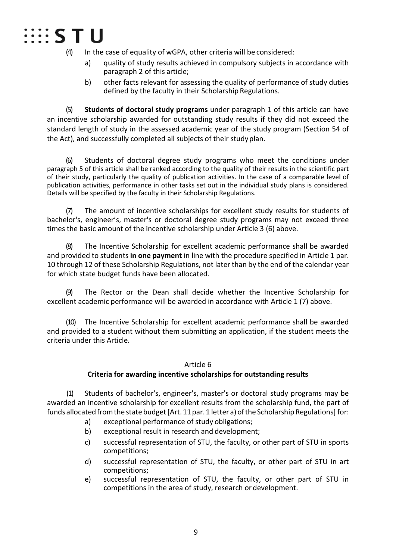# ∷∷s T U

(4) In the case of equality of wGPA, other criteria will be considered:

- a) quality of study results achieved in compulsory subjects in accordance with paragraph 2 of this article;
- b) other facts relevant for assessing the quality of performance of study duties defined by the faculty in their Scholarship Regulations.

(5) **Students of doctoral study programs** under paragraph 1 of this article can have an incentive scholarship awarded for outstanding study results if they did not exceed the standard length of study in the assessed academic year of the study program (Section 54 of the Act), and successfully completed all subjects of their studyplan.

(6) Students of doctoral degree study programs who meet the conditions under paragraph 5 of this article shall be ranked according to the quality of their results in the scientific part of their study, particularly the quality of publication activities. In the case of a comparable level of publication activities, performance in other tasks set out in the individual study plans is considered. Details will be specified by the faculty in their Scholarship Regulations.

(7) The amount of incentive scholarships for excellent study results for students of bachelor's, engineer's, master's or doctoral degree study programs may not exceed three times the basic amount of the incentive scholarship under Article 3 (6) above.

(8) The Incentive Scholarship for excellent academic performance shall be awarded and provided to students **in one payment** in line with the procedure specified in Article 1 par. 10 through 12 of these Scholarship Regulations, not later than by the end of the calendar year for which state budget funds have been allocated.

(9) The Rector or the Dean shall decide whether the Incentive Scholarship for excellent academic performance will be awarded in accordance with Article 1 (7) above.

(10) The Incentive Scholarship for excellent academic performance shall be awarded and provided to a student without them submitting an application, if the student meets the criteria under this Article.

#### Article 6

# **Criteria for awarding incentive scholarships for outstanding results**

(1) Students of bachelor's, engineer's, master's or doctoral study programs may be awarded an incentive scholarship for excellent results from the scholarship fund, the part of funds allocated from the state budget [Art. 11 par. 1 letter a) of the Scholarship Regulations] for:

- a) exceptional performance of study obligations;
- b) exceptional result in research and development;
- c) successful representation of STU, the faculty, or other part of STU in sports competitions;
- d) successful representation of STU, the faculty, or other part of STU in art competitions;
- e) successful representation of STU, the faculty, or other part of STU in competitions in the area of study, research or development.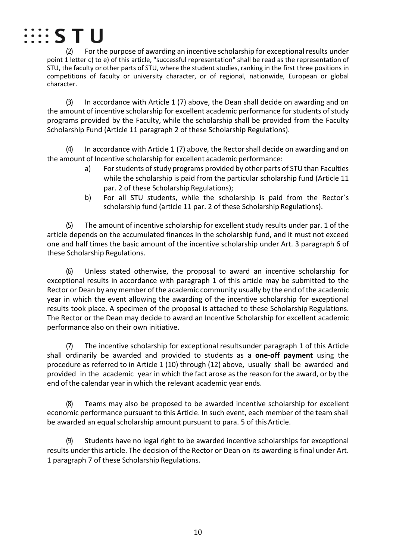

(2) For the purpose of awarding an incentive scholarship for exceptional results under point 1 letter c) to e) of this article, "successful representation" shall be read as the representation of STU, the faculty or other parts of STU, where the student studies, ranking in the first three positions in competitions of faculty or university character, or of regional, nationwide, European or global character.

(3) In accordance with Article 1 (7) above, the Dean shall decide on awarding and on the amount of incentive scholarship for excellent academic performance for students of study programs provided by the Faculty, while the scholarship shall be provided from the Faculty Scholarship Fund (Article 11 paragraph 2 of these Scholarship Regulations).

(4) In accordance with Article 1 (7) above, the Rectorshall decide on awarding and on the amount of Incentive scholarship for excellent academic performance:

- a) For students of study programs provided by other parts of STU than Faculties while the scholarship is paid from the particular scholarship fund (Article 11 par. 2 of these Scholarship Regulations);
- b) For all STU students, while the scholarship is paid from the Rector´s scholarship fund (article 11 par. 2 of these Scholarship Regulations).

(5) The amount of incentive scholarship for excellent study results under par. 1 of the article depends on the accumulated finances in the scholarship fund, and it must not exceed one and half times the basic amount of the incentive scholarship under Art. 3 paragraph 6 of these Scholarship Regulations.

(6) Unless stated otherwise, the proposal to award an incentive scholarship for exceptional results in accordance with paragraph 1 of this article may be submitted to the Rector or Dean by any member of the academic community usually by the end of the academic year in which the event allowing the awarding of the incentive scholarship for exceptional results took place. A specimen of the proposal is attached to these Scholarship Regulations. The Rector or the Dean may decide to award an Incentive Scholarship for excellent academic performance also on their own initiative.

(7) The incentive scholarship for exceptional resultsunder paragraph 1 of this Article shall ordinarily be awarded and provided to students as a **one-off payment** using the procedure as referred to in Article 1 (10) through (12) above**,** usually shall be awarded and provided in the academic year in which the fact arose asthe reason for the award, or by the end of the calendar year in which the relevant academic year ends.

(8) Teams may also be proposed to be awarded incentive scholarship for excellent economic performance pursuant to this Article. In such event, each member of the team shall be awarded an equal scholarship amount pursuant to para. 5 of thisArticle.

(9) Students have no legal right to be awarded incentive scholarships for exceptional results under this article. The decision of the Rector or Dean on its awarding is final under Art. 1 paragraph 7 of these Scholarship Regulations.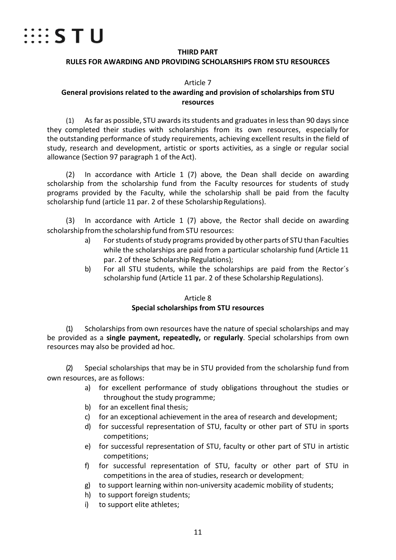

#### **THIRD PART**

#### **RULES FOR AWARDING AND PROVIDING SCHOLARSHIPS FROM STU RESOURCES**

#### Article 7

#### **General provisions related to the awarding and provision of scholarships from STU resources**

(1) As far as possible, STU awards its students and graduates in less than 90 days since they completed their studies with scholarships from its own resources, especially for the outstanding performance of study requirements, achieving excellent results in the field of study, research and development, artistic or sports activities, as a single or regular social allowance (Section 97 paragraph 1 of the Act).

(2) In accordance with Article 1 (7) above, the Dean shall decide on awarding scholarship from the scholarship fund from the Faculty resources for students of study programs provided by the Faculty, while the scholarship shall be paid from the faculty scholarship fund (article 11 par. 2 of these Scholarship Regulations).

(3) In accordance with Article 1 (7) above, the Rector shall decide on awarding scholarship from the scholarship fund from STU resources:

- a) For students of study programs provided by other parts of STU than Faculties while the scholarships are paid from a particular scholarship fund (Article 11 par. 2 of these Scholarship Regulations);
- b) For all STU students, while the scholarships are paid from the Rector´s scholarship fund (Article 11 par. 2 of these Scholarship Regulations).

#### Article 8

#### **Special scholarships from STU resources**

(1) Scholarships from own resources have the nature of special scholarships and may be provided as a **single payment, repeatedly,** or **regularly**. Special scholarships from own resources may also be provided ad hoc.

(2) Special scholarships that may be in STU provided from the scholarship fund from own resources, are as follows:

- a) for excellent performance of study obligations throughout the studies or throughout the study programme;
- b) for an excellent final thesis;
- c) for an exceptional achievement in the area of research and development;
- d) for successful representation of STU, faculty or other part of STU in sports competitions;
- e) for successful representation of STU, faculty or other part of STU in artistic competitions;
- f) for successful representation of STU, faculty or other part of STU in competitions in the area of studies, research or development;
- g) to support learning within non-university academic mobility of students;
- h) to support foreign students;
- i) to support elite athletes;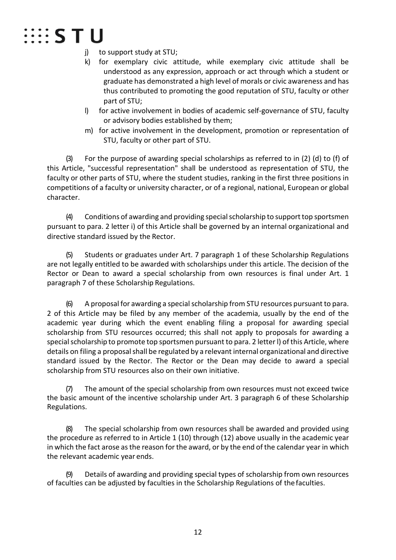# **EEE STU**

- j) to support study at STU;
- k) for exemplary civic attitude, while exemplary civic attitude shall be understood as any expression, approach or act through which a student or graduate has demonstrated a high level of morals or civic awareness and has thus contributed to promoting the good reputation of STU, faculty or other part of STU;
- l) for active involvement in bodies of academic self-governance of STU, faculty or advisory bodies established by them;
- m) for active involvement in the development, promotion or representation of STU, faculty or other part of STU.

(3) For the purpose of awarding special scholarships as referred to in (2) (d) to (f) of this Article, "successful representation" shall be understood as representation of STU, the faculty or other parts of STU, where the student studies, ranking in the first three positions in competitions of a faculty or university character, or of a regional, national, European or global character.

(4) Conditions of awarding and providing specialscholarship to supporttop sportsmen pursuant to para. 2 letter i) of this Article shall be governed by an internal organizational and directive standard issued by the Rector.

(5) Students or graduates under Art. 7 paragraph 1 of these Scholarship Regulations are not legally entitled to be awarded with scholarships under this article. The decision of the Rector or Dean to award a special scholarship from own resources is final under Art. 1 paragraph 7 of these Scholarship Regulations.

 $(6)$  A proposal for awarding a special scholarship from STU resources pursuant to para. 2 of this Article may be filed by any member of the academia, usually by the end of the academic year during which the event enabling filing a proposal for awarding special scholarship from STU resources occurred; this shall not apply to proposals for awarding a special scholarship to promote top sportsmen pursuant to para. 2 letter I) of this Article, where details on filing a proposal shall be regulated by a relevant internal organizational and directive standard issued by the Rector. The Rector or the Dean may decide to award a special scholarship from STU resources also on their own initiative.

(7) The amount of the special scholarship from own resources must not exceed twice the basic amount of the incentive scholarship under Art. 3 paragraph 6 of these Scholarship Regulations.

The special scholarship from own resources shall be awarded and provided using the procedure as referred to in Article 1 (10) through (12) above usually in the academic year in which the fact arose as the reason for the award, or by the end of the calendar year in which the relevant academic year ends.

Details of awarding and providing special types of scholarship from own resources of faculties can be adjusted by faculties in the Scholarship Regulations of thefaculties.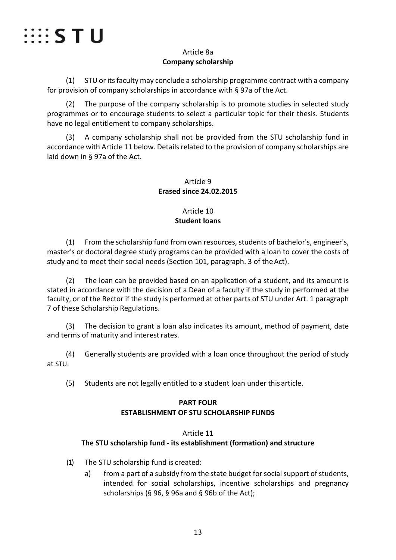

# Article 8a **Company scholarship**

(1) STU or its faculty may conclude a scholarship programme contract with a company for provision of company scholarships in accordance with § 97a of the Act.

(2) The purpose of the company scholarship is to promote studies in selected study programmes or to encourage students to select a particular topic for their thesis. Students have no legal entitlement to company scholarships.

(3) A company scholarship shall not be provided from the STU scholarship fund in accordance with Article 11 below. Details related to the provision of company scholarships are laid down in § 97a of the Act.

# Article 9 **Erased since 24.02.2015**

# Article 10 **Student loans**

(1) From the scholarship fund from own resources, students of bachelor's, engineer's, master's or doctoral degree study programs can be provided with a loan to cover the costs of study and to meet their social needs (Section 101, paragraph. 3 of the Act).

(2) The loan can be provided based on an application of a student, and its amount is stated in accordance with the decision of a Dean of a faculty if the study in performed at the faculty, or of the Rector if the study is performed at other parts of STU under Art. 1 paragraph 7 of these Scholarship Regulations.

The decision to grant a loan also indicates its amount, method of payment, date and terms of maturity and interest rates.

(4) Generally students are provided with a loan once throughout the period of study at STU.

(5) Students are not legally entitled to a student loan under this article.

# **PART FOUR ESTABLISHMENT OF STU SCHOLARSHIP FUNDS**

# Article 11

# **The STU scholarship fund - its establishment (formation) and structure**

- (1) The STU scholarship fund is created:
	- a) from a part of a subsidy from the state budget for social support of students, intended for social scholarships, incentive scholarships and pregnancy scholarships (§ 96, § 96a and § 96b of the Act);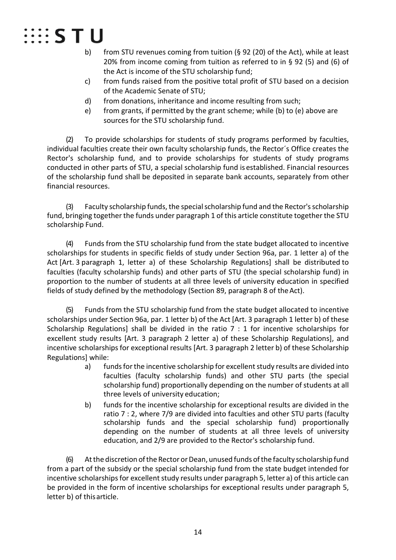

- b) from STU revenues coming from tuition (§ 92 (20) of the Act), while at least 20% from income coming from tuition as referred to in § 92 (5) and (6) of the Act is income of the STU scholarship fund;
- c) from funds raised from the positive total profit of STU based on a decision of the Academic Senate of STU;
- d) from donations, inheritance and income resulting from such;
- e) from grants, if permitted by the grant scheme; while (b) to (e) above are sources for the STU scholarship fund.

(2) To provide scholarships for students of study programs performed by faculties, individual faculties create their own faculty scholarship funds, the Rector´s Office creates the Rector's scholarship fund, and to provide scholarships for students of study programs conducted in other parts of STU, a special scholarship fund is established. Financial resources of the scholarship fund shall be deposited in separate bank accounts, separately from other financial resources.

(3) Faculty scholarship funds, the special scholarship fund and the Rector's scholarship fund, bringing together the funds under paragraph 1 of this article constitute together the STU scholarship Fund.

(4) Funds from the STU scholarship fund from the state budget allocated to incentive scholarships for students in specific fields of study under Section 96a, par. 1 letter a) of the Act [Art. 3 paragraph 1, letter a) of these Scholarship Regulations] shall be distributed to faculties (faculty scholarship funds) and other parts of STU (the special scholarship fund) in proportion to the number of students at all three levels of university education in specified fields of study defined by the methodology (Section 89, paragraph 8 of theAct).

(5) Funds from the STU scholarship fund from the state budget allocated to incentive scholarships under Section 96a, par. 1 letter b) of the Act [Art. 3 paragraph 1 letter b) of these Scholarship Regulations] shall be divided in the ratio 7 : 1 for incentive scholarships for excellent study results [Art. 3 paragraph 2 letter a) of these Scholarship Regulations], and incentive scholarships for exceptional results [Art. 3 paragraph 2 letter b) of these Scholarship Regulations] while:

- a) funds for the incentive scholarship for excellent study results are divided into faculties (faculty scholarship funds) and other STU parts (the special scholarship fund) proportionally depending on the number of students at all three levels of university education;
- b) funds for the incentive scholarship for exceptional results are divided in the ratio 7 : 2, where 7/9 are divided into faculties and other STU parts (faculty scholarship funds and the special scholarship fund) proportionally depending on the number of students at all three levels of university education, and 2/9 are provided to the Rector's scholarship fund.

(6) At the discretion of the Rector or Dean, unused funds of the faculty scholarship fund from a part of the subsidy or the special scholarship fund from the state budget intended for incentive scholarships for excellent study results under paragraph 5, letter a) of this article can be provided in the form of incentive scholarships for exceptional results under paragraph 5, letter b) of thisarticle.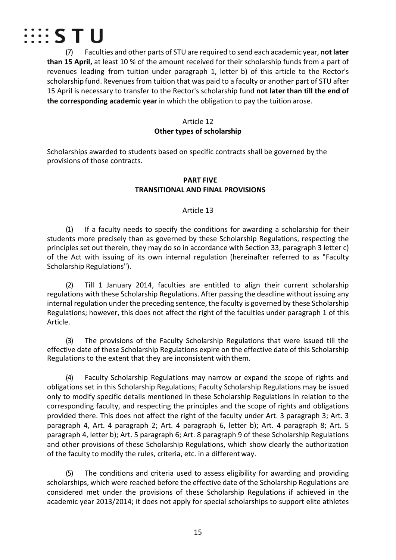

(7) Faculties and other parts of STU are required to send each academic year, **notlater than 15 April,** at least 10 % of the amount received for their scholarship funds from a part of revenues leading from tuition under paragraph 1, letter b) of this article to the Rector's scholarship fund. Revenues from tuition that was paid to a faculty or another part of STU after 15 April is necessary to transfer to the Rector's scholarship fund **not later than till the end of the corresponding academic year** in which the obligation to pay the tuition arose.

#### Article 12

#### **Other types of scholarship**

Scholarships awarded to students based on specific contracts shall be governed by the provisions of those contracts.

#### **PART FIVE TRANSITIONAL AND FINAL PROVISIONS**

#### Article 13

(1) If a faculty needs to specify the conditions for awarding a scholarship for their students more precisely than as governed by these Scholarship Regulations, respecting the principles set out therein, they may do so in accordance with Section 33, paragraph 3 letter c) of the Act with issuing of its own internal regulation (hereinafter referred to as "Faculty Scholarship Regulations").

(2) Till 1 January 2014, faculties are entitled to align their current scholarship regulations with these Scholarship Regulations. After passing the deadline without issuing any internal regulation under the preceding sentence, the faculty is governed by these Scholarship Regulations; however, this does not affect the right of the faculties under paragraph 1 of this Article.

(3) The provisions of the Faculty Scholarship Regulations that were issued till the effective date of these Scholarship Regulations expire on the effective date of this Scholarship Regulations to the extent that they are inconsistent with them.

(4) Faculty Scholarship Regulations may narrow or expand the scope of rights and obligations set in this Scholarship Regulations; Faculty Scholarship Regulations may be issued only to modify specific details mentioned in these Scholarship Regulations in relation to the corresponding faculty, and respecting the principles and the scope of rights and obligations provided there. This does not affect the right of the faculty under Art. 3 paragraph 3; Art. 3 paragraph 4, Art. 4 paragraph 2; Art. 4 paragraph 6, letter b); Art. 4 paragraph 8; Art. 5 paragraph 4, letter b); Art. 5 paragraph 6; Art. 8 paragraph 9 of these Scholarship Regulations and other provisions of these Scholarship Regulations, which show clearly the authorization of the faculty to modify the rules, criteria, etc. in a different way.

(5) The conditions and criteria used to assess eligibility for awarding and providing scholarships, which were reached before the effective date of the Scholarship Regulations are considered met under the provisions of these Scholarship Regulations if achieved in the academic year 2013/2014; it does not apply for special scholarships to support elite athletes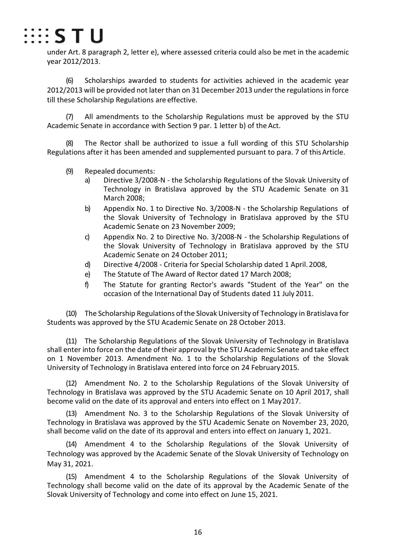

under Art. 8 paragraph 2, letter e), where assessed criteria could also be met in the academic year 2012/2013.

(6) Scholarships awarded to students for activities achieved in the academic year 2012/2013 will be provided not later than on 31 December 2013 under the regulations in force till these Scholarship Regulations are effective.

(7) All amendments to the Scholarship Regulations must be approved by the STU Academic Senate in accordance with Section 9 par. 1 letter b) of the Act.

(8) The Rector shall be authorized to issue a full wording of this STU Scholarship Regulations after it has been amended and supplemented pursuant to para. 7 of thisArticle.

- (9) Repealed documents:
	- a) Directive 3/2008-N the Scholarship Regulations of the Slovak University of Technology in Bratislava approved by the STU Academic Senate on 31 March 2008;
	- b) Appendix No. 1 to Directive No. 3/2008-N the Scholarship Regulations of the Slovak University of Technology in Bratislava approved by the STU Academic Senate on 23 November 2009;
	- c) Appendix No. 2 to Directive No. 3/2008-N the Scholarship Regulations of the Slovak University of Technology in Bratislava approved by the STU Academic Senate on 24 October 2011;
	- d) Directive 4/2008 Criteria for Special Scholarship dated 1 April. 2008,
	- e) The Statute of The Award of Rector dated 17 March 2008;
	- f) The Statute for granting Rector's awards "Student of the Year" on the occasion of the International Day of Students dated 11 July 2011.

(10) The Scholarship Regulations ofthe Slovak University of Technology in Bratislava for Students was approved by the STU Academic Senate on 28 October 2013.

(11) The Scholarship Regulations of the Slovak University of Technology in Bratislava shall enter into force on the date of their approval by the STU Academic Senate and take effect on 1 November 2013. Amendment No. 1 to the Scholarship Regulations of the Slovak University of Technology in Bratislava entered into force on 24 February2015.

(12) Amendment No. 2 to the Scholarship Regulations of the Slovak University of Technology in Bratislava was approved by the STU Academic Senate on 10 April 2017, shall become valid on the date of its approval and enters into effect on 1 May2017.

(13) Amendment No. 3 to the Scholarship Regulations of the Slovak University of Technology in Bratislava was approved by the STU Academic Senate on November 23, 2020, shall become valid on the date of its approval and enters into effect on January 1, 2021.

(14) Amendment 4 to the Scholarship Regulations of the Slovak University of Technology was approved by the Academic Senate of the Slovak University of Technology on May 31, 2021.

(15) Amendment 4 to the Scholarship Regulations of the Slovak University of Technology shall become valid on the date of its approval by the Academic Senate of the Slovak University of Technology and come into effect on June 15, 2021.